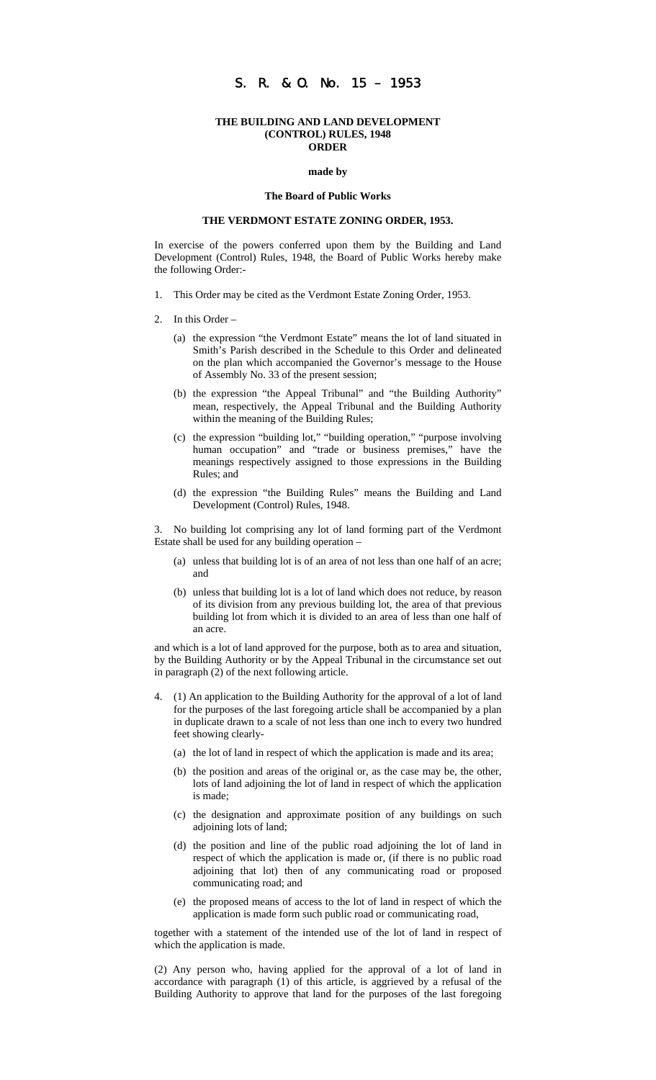## S. R. & O. No. 15 – 1953

### **THE BUILDING AND LAND DEVELOPMENT (CONTROL) RULES, 1948 ORDER**

#### **made by**

#### **The Board of Public Works**

## **THE VERDMONT ESTATE ZONING ORDER, 1953.**

In exercise of the powers conferred upon them by the Building and Land Development (Control) Rules, 1948, the Board of Public Works hereby make the following Order:-

- 1. This Order may be cited as the Verdmont Estate Zoning Order, 1953.
- 2. In this Order
	- (a) the expression "the Verdmont Estate" means the lot of land situated in Smith's Parish described in the Schedule to this Order and delineated on the plan which accompanied the Governor's message to the House of Assembly No. 33 of the present session;
	- (b) the expression "the Appeal Tribunal" and "the Building Authority" mean, respectively, the Appeal Tribunal and the Building Authority within the meaning of the Building Rules;
	- (c) the expression "building lot," "building operation," "purpose involving human occupation" and "trade or business premises," have the meanings respectively assigned to those expressions in the Building Rules; and
	- (d) the expression "the Building Rules" means the Building and Land Development (Control) Rules, 1948.

3. No building lot comprising any lot of land forming part of the Verdmont Estate shall be used for any building operation –

- (a) unless that building lot is of an area of not less than one half of an acre; and
- (b) unless that building lot is a lot of land which does not reduce, by reason of its division from any previous building lot, the area of that previous building lot from which it is divided to an area of less than one half of an acre.

and which is a lot of land approved for the purpose, both as to area and situation, by the Building Authority or by the Appeal Tribunal in the circumstance set out in paragraph (2) of the next following article.

- 4. (1) An application to the Building Authority for the approval of a lot of land for the purposes of the last foregoing article shall be accompanied by a plan in duplicate drawn to a scale of not less than one inch to every two hundred feet showing clearly-
	- (a) the lot of land in respect of which the application is made and its area;
	- (b) the position and areas of the original or, as the case may be, the other, lots of land adjoining the lot of land in respect of which the application is made;
	- (c) the designation and approximate position of any buildings on such adjoining lots of land;
	- (d) the position and line of the public road adjoining the lot of land in respect of which the application is made or, (if there is no public road adjoining that lot) then of any communicating road or proposed communicating road; and
	- (e) the proposed means of access to the lot of land in respect of which the application is made form such public road or communicating road,

together with a statement of the intended use of the lot of land in respect of which the application is made.

(2) Any person who, having applied for the approval of a lot of land in accordance with paragraph (1) of this article, is aggrieved by a refusal of the Building Authority to approve that land for the purposes of the last foregoing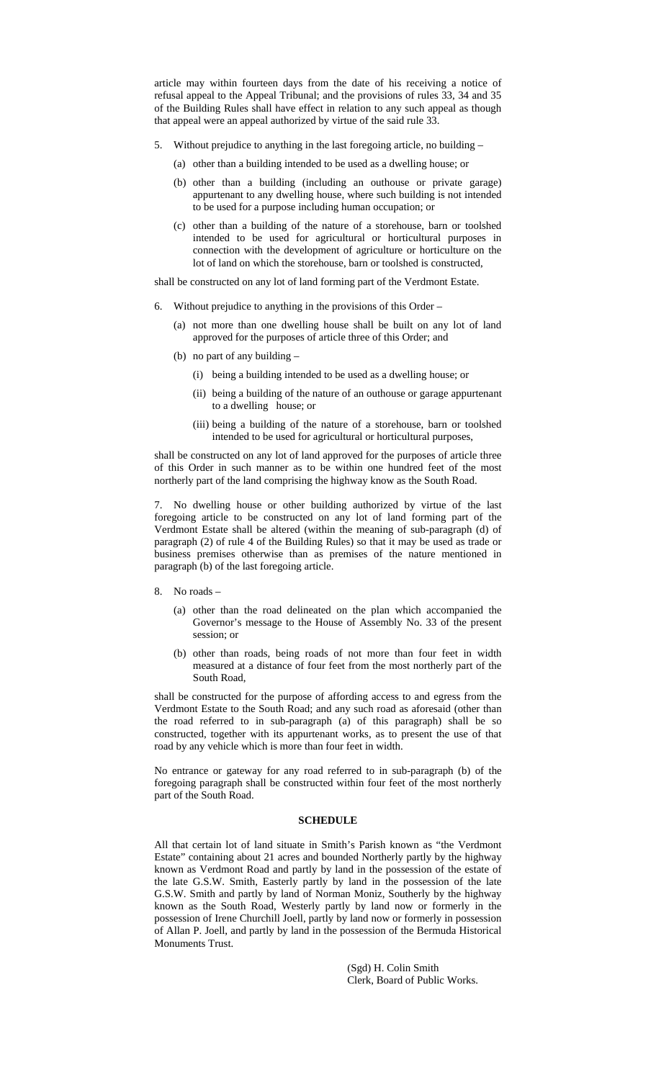article may within fourteen days from the date of his receiving a notice of refusal appeal to the Appeal Tribunal; and the provisions of rules 33, 34 and 35 of the Building Rules shall have effect in relation to any such appeal as though that appeal were an appeal authorized by virtue of the said rule 33.

- 5. Without prejudice to anything in the last foregoing article, no building
	- (a) other than a building intended to be used as a dwelling house; or
	- (b) other than a building (including an outhouse or private garage) appurtenant to any dwelling house, where such building is not intended to be used for a purpose including human occupation; or
	- (c) other than a building of the nature of a storehouse, barn or toolshed intended to be used for agricultural or horticultural purposes in connection with the development of agriculture or horticulture on the lot of land on which the storehouse, barn or toolshed is constructed,

shall be constructed on any lot of land forming part of the Verdmont Estate.

- 6. Without prejudice to anything in the provisions of this Order
	- (a) not more than one dwelling house shall be built on any lot of land approved for the purposes of article three of this Order; and
	- (b) no part of any building
		- (i) being a building intended to be used as a dwelling house; or
		- (ii) being a building of the nature of an outhouse or garage appurtenant to a dwelling house; or
		- (iii) being a building of the nature of a storehouse, barn or toolshed intended to be used for agricultural or horticultural purposes,

shall be constructed on any lot of land approved for the purposes of article three of this Order in such manner as to be within one hundred feet of the most northerly part of the land comprising the highway know as the South Road.

7. No dwelling house or other building authorized by virtue of the last foregoing article to be constructed on any lot of land forming part of the Verdmont Estate shall be altered (within the meaning of sub-paragraph (d) of paragraph (2) of rule 4 of the Building Rules) so that it may be used as trade or business premises otherwise than as premises of the nature mentioned in paragraph (b) of the last foregoing article.

- 8. No roads
	- (a) other than the road delineated on the plan which accompanied the Governor's message to the House of Assembly No. 33 of the present session; or
	- (b) other than roads, being roads of not more than four feet in width measured at a distance of four feet from the most northerly part of the South Road,

shall be constructed for the purpose of affording access to and egress from the Verdmont Estate to the South Road; and any such road as aforesaid (other than the road referred to in sub-paragraph (a) of this paragraph) shall be so constructed, together with its appurtenant works, as to present the use of that road by any vehicle which is more than four feet in width.

No entrance or gateway for any road referred to in sub-paragraph (b) of the foregoing paragraph shall be constructed within four feet of the most northerly part of the South Road.

## **SCHEDULE**

All that certain lot of land situate in Smith's Parish known as "the Verdmont Estate" containing about 21 acres and bounded Northerly partly by the highway known as Verdmont Road and partly by land in the possession of the estate of the late G.S.W. Smith, Easterly partly by land in the possession of the late G.S.W. Smith and partly by land of Norman Moniz, Southerly by the highway known as the South Road, Westerly partly by land now or formerly in the possession of Irene Churchill Joell, partly by land now or formerly in possession of Allan P. Joell, and partly by land in the possession of the Bermuda Historical Monuments Trust.

> (Sgd) H. Colin Smith Clerk, Board of Public Works.